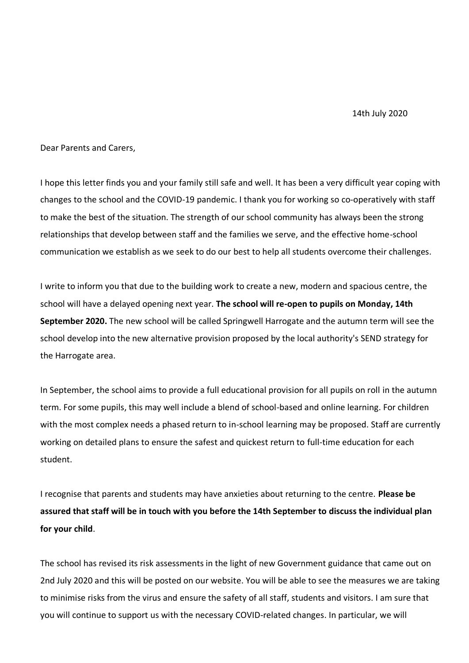Dear Parents and Carers,

I hope this letter finds you and your family still safe and well. It has been a very difficult year coping with changes to the school and the COVID-19 pandemic. I thank you for working so co-operatively with staff to make the best of the situation. The strength of our school community has always been the strong relationships that develop between staff and the families we serve, and the effective home-school communication we establish as we seek to do our best to help all students overcome their challenges.

I write to inform you that due to the building work to create a new, modern and spacious centre, the school will have a delayed opening next year. **The school will re-open to pupils on Monday, 14th September 2020.** The new school will be called Springwell Harrogate and the autumn term will see the school develop into the new alternative provision proposed by the local authority's SEND strategy for the Harrogate area.

In September, the school aims to provide a full educational provision for all pupils on roll in the autumn term. For some pupils, this may well include a blend of school-based and online learning. For children with the most complex needs a phased return to in-school learning may be proposed. Staff are currently working on detailed plans to ensure the safest and quickest return to full-time education for each student.

I recognise that parents and students may have anxieties about returning to the centre. **Please be assured that staff will be in touch with you before the 14th September to discuss the individual plan for your child**.

The school has revised its risk assessments in the light of new Government guidance that came out on 2nd July 2020 and this will be posted on our website. You will be able to see the measures we are taking to minimise risks from the virus and ensure the safety of all staff, students and visitors. I am sure that you will continue to support us with the necessary COVID-related changes. In particular, we will